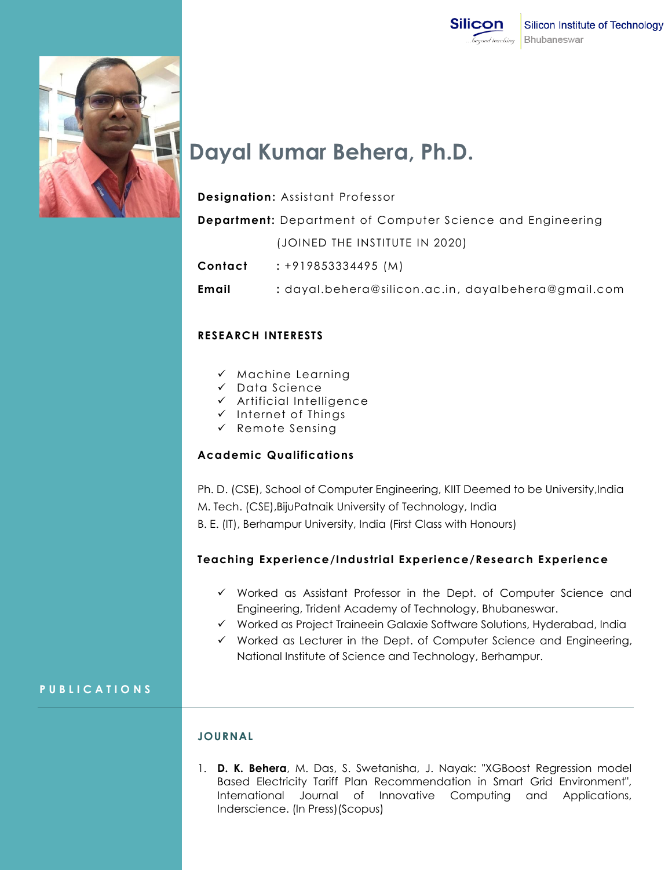



# **Dayal Kumar Behera, Ph.D.**

# **Designation:** Assistant Professor

**Department:** Department of Computer Science and Engineering

(JOINED THE INSTITUTE IN 2020)

**Contact :** +919853334495 (M)

**Email :** dayal.behera@silicon.ac.in, dayalbehera@gmail.com

# **RESEARCH INTERESTS**

- $\checkmark$  Machine Learning
- Data Science
- $\checkmark$  Artificial Intelligence
- $\checkmark$  Internet of Things
- Remote Sensing

# **Academic Qualifications**

Ph. D. (CSE), School of Computer Engineering, KIIT Deemed to be University,India M. Tech. (CSE),BijuPatnaik University of Technology, India B. E. (IT), Berhampur University, India (First Class with Honours)

# **Teaching Experience/Industrial Experience/Research Experience**

- $\checkmark$  Worked as Assistant Professor in the Dept. of Computer Science and Engineering, Trident Academy of Technology, Bhubaneswar.
- Worked as Project Traineein Galaxie Software Solutions, Hyderabad, India
- $\checkmark$  Worked as Lecturer in the Dept. of Computer Science and Engineering, National Institute of Science and Technology, Berhampur.

# **P U B L I C A T I O N S**

#### **JOURNAL**

1. **D. K. Behera**, M. Das, S. Swetanisha, J. Nayak: "XGBoost Regression model Based Electricity Tariff Plan Recommendation in Smart Grid Environment", International Journal of Innovative Computing and Applications, Inderscience. (In Press)(Scopus)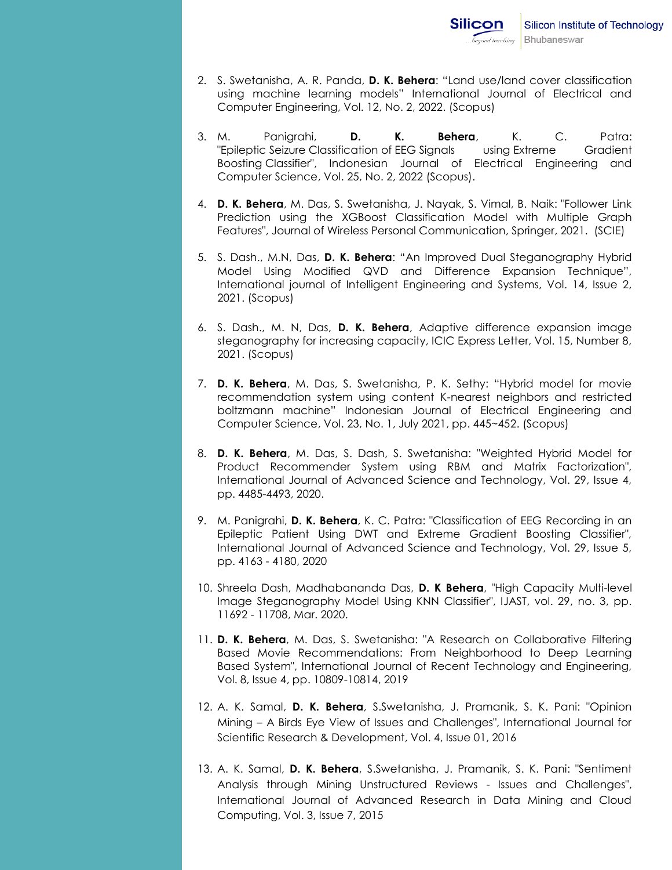- 2. S. Swetanisha, A. R. Panda, **D. K. Behera**: "Land use/land cover classification using machine learning models" International Journal of Electrical and Computer Engineering, Vol. 12, No. 2, 2022. (Scopus)
- 3. M. Panigrahi, **D. K. Behera**, K. C. Patra: "Epileptic Seizure Classification of EEG Signals using Extreme Gradient Boosting Classifier", Indonesian Journal of Electrical Engineering and Computer Science, Vol. 25, No. 2, 2022 (Scopus).
- 4. **D. K. Behera**, M. Das, S. Swetanisha, J. Nayak, S. Vimal, B. Naik: "Follower Link Prediction using the XGBoost Classification Model with Multiple Graph Features", Journal of Wireless Personal Communication, Springer, 2021. (SCIE)
- 5. S. Dash., M.N, Das, **D. K. Behera**: "An Improved Dual Steganography Hybrid Model Using Modified QVD and Difference Expansion Technique", International journal of Intelligent Engineering and Systems, Vol. 14, Issue 2, 2021. (Scopus)
- 6. S. Dash., M. N, Das, **D. K. Behera**, Adaptive difference expansion image steganography for increasing capacity, ICIC Express Letter, Vol. 15, Number 8, 2021. (Scopus)
- 7. **D. K. Behera**, M. Das, S. Swetanisha, P. K. Sethy: "Hybrid model for movie recommendation system using content K-nearest neighbors and restricted boltzmann machine" Indonesian Journal of Electrical Engineering and Computer Science, Vol. 23, No. 1, July 2021, pp. 445~452. (Scopus)
- 8. **D. K. Behera**, M. Das, S. Dash, S. Swetanisha: "Weighted Hybrid Model for Product Recommender System using RBM and Matrix Factorization", International Journal of Advanced Science and Technology, Vol. 29, Issue 4, pp. 4485-4493, 2020.
- 9. M. Panigrahi, **D. K. Behera**, K. C. Patra: "Classification of EEG Recording in an Epileptic Patient Using DWT and Extreme Gradient Boosting Classifier", International Journal of Advanced Science and Technology, Vol. 29, Issue 5, pp. 4163 - 4180, 2020
- 10. Shreela Dash, Madhabananda Das, **D. K Behera**, "High Capacity Multi-level Image Steganography Model Using KNN Classifier", IJAST, vol. 29, no. 3, pp. 11692 - 11708, Mar. 2020.
- 11. **D. K. Behera**, M. Das, S. Swetanisha: "A Research on Collaborative Filtering Based Movie Recommendations: From Neighborhood to Deep Learning Based System", International Journal of Recent Technology and Engineering, Vol. 8, Issue 4, pp. 10809-10814, 2019
- 12. A. K. Samal, **D. K. Behera**, S.Swetanisha, J. Pramanik, S. K. Pani: "Opinion Mining – A Birds Eye View of Issues and Challenges", International Journal for Scientific Research & Development, Vol. 4, Issue 01, 2016
- 13. A. K. Samal, **D. K. Behera**, S.Swetanisha, J. Pramanik, S. K. Pani: "Sentiment Analysis through Mining Unstructured Reviews - Issues and Challenges", International Journal of Advanced Research in Data Mining and Cloud Computing, Vol. 3, Issue 7, 2015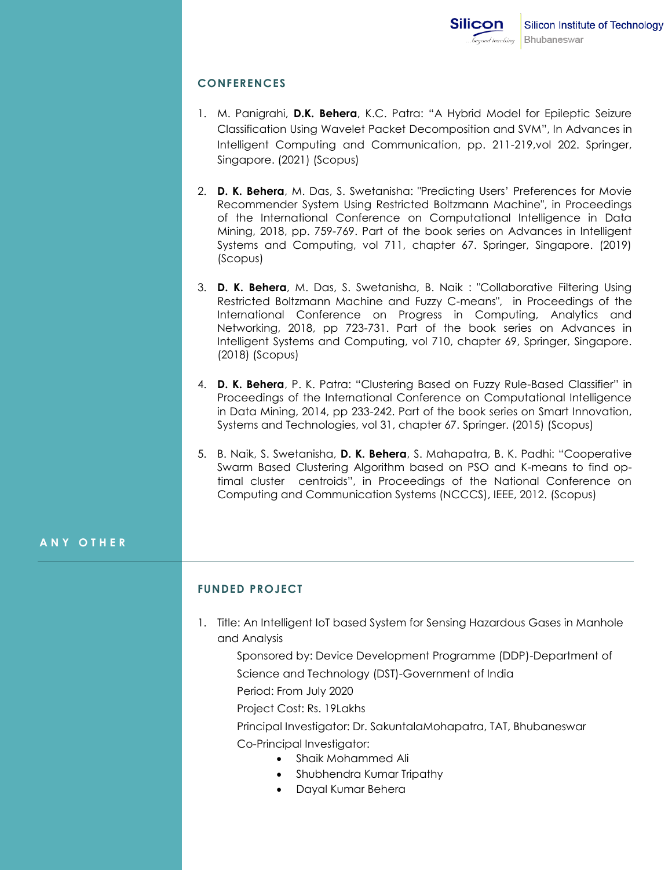# **CONFERENCES**

- 1. M. Panigrahi, **D.K. Behera**, K.C. Patra: "A Hybrid Model for Epileptic Seizure Classification Using Wavelet Packet Decomposition and SVM", In Advances in Intelligent Computing and Communication, pp. 211-219,vol 202. Springer, Singapore. (2021) (Scopus)
- 2. **D. K. Behera**, M. Das, S. Swetanisha: "Predicting Users' Preferences for Movie Recommender System Using Restricted Boltzmann Machine", in Proceedings of the International Conference on Computational Intelligence in Data Mining, 2018, pp. 759-769. Part of the book series on Advances in Intelligent Systems and Computing, vol 711, chapter 67. Springer, Singapore. (2019) (Scopus)
- 3. **D. K. Behera**, M. Das, S. Swetanisha, B. Naik : "Collaborative Filtering Using Restricted Boltzmann Machine and Fuzzy C-means", in Proceedings of the International Conference on Progress in Computing, Analytics and Networking, 2018, pp 723-731. Part of the book series on Advances in Intelligent Systems and Computing, vol 710, chapter 69, Springer, Singapore. (2018) (Scopus)
- 4. **D. K. Behera**, P. K. Patra: "Clustering Based on Fuzzy Rule-Based Classifier" in Proceedings of the International Conference on Computational Intelligence in Data Mining, 2014, pp 233-242. Part of the book series on Smart Innovation, Systems and Technologies, vol 31, chapter 67. Springer. (2015) (Scopus)
- 5. B. Naik, S. Swetanisha, **D. K. Behera**, S. Mahapatra, B. K. Padhi: "Cooperative Swarm Based Clustering Algorithm based on PSO and K-means to find optimal cluster centroids", in Proceedings of the National Conference on Computing and Communication Systems (NCCCS), IEEE, 2012. (Scopus)

#### **A N Y O T H E R**

# **FUNDED PROJECT**

1. Title: An Intelligent IoT based System for Sensing Hazardous Gases in Manhole and Analysis

Sponsored by: Device Development Programme (DDP)-Department of Science and Technology (DST)-Government of India Period: From July 2020 Project Cost: Rs. 19Lakhs

Principal Investigator: Dr. SakuntalaMohapatra, TAT, Bhubaneswar

Co-Principal Investigator:

- Shaik Mohammed Ali
- Shubhendra Kumar Tripathy
- Dayal Kumar Behera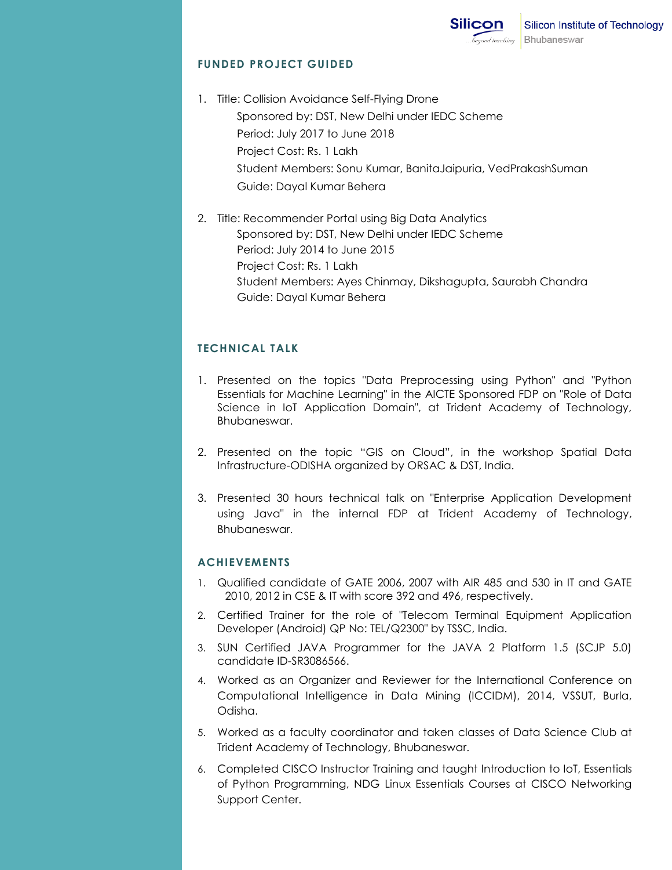### **FUNDED PROJECT GUIDED**

- 1. Title: Collision Avoidance Self-Flying Drone Sponsored by: DST, New Delhi under IEDC Scheme Period: July 2017 to June 2018 Project Cost: Rs. 1 Lakh Student Members: Sonu Kumar, BanitaJaipuria, VedPrakashSuman Guide: Dayal Kumar Behera
- 2. Title: Recommender Portal using Big Data Analytics Sponsored by: DST, New Delhi under IEDC Scheme Period: July 2014 to June 2015 Project Cost: Rs. 1 Lakh Student Members: Ayes Chinmay, Dikshagupta, Saurabh Chandra Guide: Dayal Kumar Behera

# **TECHNICAL TALK**

- 1. Presented on the topics "Data Preprocessing using Python" and "Python Essentials for Machine Learning" in the AICTE Sponsored FDP on "Role of Data Science in IoT Application Domain", at Trident Academy of Technology, Bhubaneswar.
- 2. Presented on the topic "GIS on Cloud", in the workshop Spatial Data Infrastructure-ODISHA organized by ORSAC & DST, India.
- 3. Presented 30 hours technical talk on "Enterprise Application Development using Java" in the internal FDP at Trident Academy of Technology, Bhubaneswar.

# **ACHIEVEMENTS**

- 1. Qualified candidate of GATE 2006, 2007 with AIR 485 and 530 in IT and GATE 2010, 2012 in CSE & IT with score 392 and 496, respectively.
- 2. Certified Trainer for the role of "Telecom Terminal Equipment Application Developer (Android) QP No: TEL/Q2300" by TSSC, India.
- 3. SUN Certified JAVA Programmer for the JAVA 2 Platform 1.5 (SCJP 5.0) candidate ID-SR3086566.
- 4. Worked as an Organizer and Reviewer for the International Conference on Computational Intelligence in Data Mining (ICCIDM), 2014, VSSUT, Burla, Odisha.
- 5. Worked as a faculty coordinator and taken classes of Data Science Club at Trident Academy of Technology, Bhubaneswar.
- 6. Completed CISCO Instructor Training and taught Introduction to IoT, Essentials of Python Programming, NDG Linux Essentials Courses at CISCO Networking Support Center.